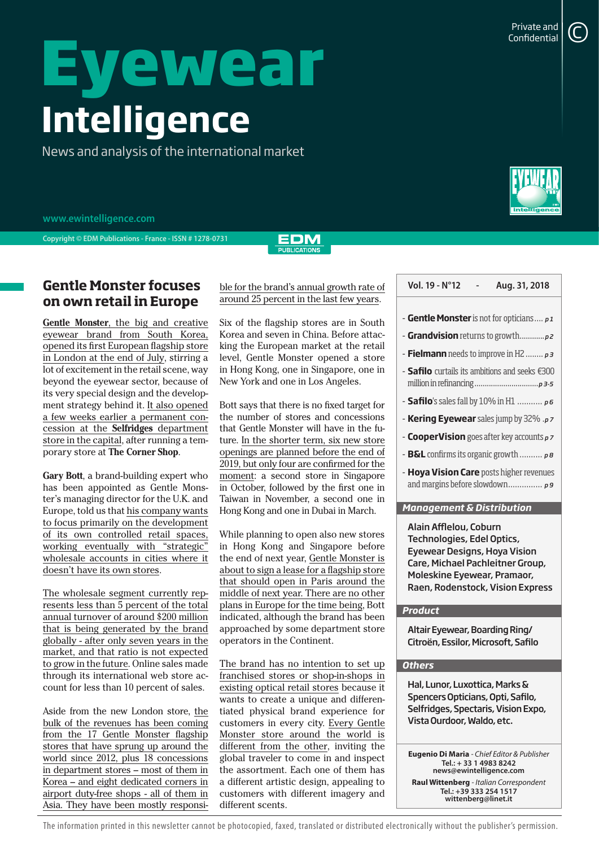# **Eyewear Intelligence**

News and analysis of the international market



**Copyright © EDM Publications - France - ISSN # 1278-0731**

#### EDM **PUBLICATIONS**

## **Gentle Monster focuses** ble for the brand's annual growth rate of **Vol. 19 - N°12** - Aug. 31, 2018 **on own retail in Europe**

**Gentle Monster**, the big and creative eyewear brand from South Korea, opened its first European flagship store in London at the end of July, stirring a lot of excitement in the retail scene, way beyond the eyewear sector, because of its very special design and the development strategy behind it. It also opened a few weeks earlier a permanent concession at the **Selfridges** department store in the capital, after running a temporary store at **The Corner Shop**.

**Gary Bott**, a brand-building expert who has been appointed as Gentle Monster's managing director for the U.K. and Europe, told us that his company wants to focus primarily on the development of its own controlled retail spaces, working eventually with "strategic" wholesale accounts in cities where it doesn't have its own stores.

The wholesale segment currently represents less than 5 percent of the total annual turnover of around \$200 million that is being generated by the brand globally - after only seven years in the market, and that ratio is not expected to grow in the future. Online sales made through its international web store account for less than 10 percent of sales.

Aside from the new London store, the bulk of the revenues has been coming from the 17 Gentle Monster flagship stores that have sprung up around the world since 2012, plus 18 concessions in department stores – most of them in Korea – and eight dedicated corners in airport duty-free shops - all of them in Asia. They have been mostly responsible for the brand's annual growth rate of around 25 percent in the last few years.

Six of the flagship stores are in South Korea and seven in China. Before attacking the European market at the retail level, Gentle Monster opened a store in Hong Kong, one in Singapore, one in New York and one in Los Angeles.

Bott says that there is no fixed target for the number of stores and concessions that Gentle Monster will have in the future. In the shorter term, six new store openings are planned before the end of 2019, but only four are confirmed for the moment: a second store in Singapore in October, followed by the first one in Taiwan in November, a second one in Hong Kong and one in Dubai in March.

While planning to open also new stores in Hong Kong and Singapore before the end of next year, Gentle Monster is about to sign a lease for a flagship store that should open in Paris around the middle of next year. There are no other plans in Europe for the time being, Bott indicated, although the brand has been approached by some department store operators in the Continent.

The brand has no intention to set up franchised stores or shop-in-shops in existing optical retail stores because it wants to create a unique and differentiated physical brand experience for customers in every city. Every Gentle Monster store around the world is different from the other, inviting the global traveler to come in and inspect the assortment. Each one of them has a different artistic design, appealing to customers with different imagery and different scents.

| <b>- Gentle Monster</b> is not for opticians $\dots p1$         |
|-----------------------------------------------------------------|
|                                                                 |
| <b>- Fielmann</b> needs to improve in H2 $p_3$                  |
| - <b>Safilo</b> curtails its ambitions and seeks $\epsilon$ 300 |
|                                                                 |

- **Safilo**'s sales fall by 10% in H1 ........... *p 6*
- **Kering Eyewear** sales jump by 32% .*p 7*
- **CooperVision** goes after key accounts *p 7*
- **B&L** confirms its organic growth .......... *p 8*
- **Hoya Vision Care** posts higher revenues and margins before slowdown............... *p 9*

#### *Management & Distribution*

Alain Afflelou, Coburn Technologies, Edel Optics, Eyewear Designs, Hoya Vision Care, Michael Pachleitner Group, Moleskine Eyewear, Pramaor, Raen, Rodenstock, Vision Express

#### *Product*

Altair Eyewear, Boarding Ring/ Citroën, Essilor, Microsoft, Safilo

### *Others*

Hal, Lunor, Luxottica, Marks & Spencers Opticians, Opti, Safilo, Selfridges, Spectaris, Vision Expo, Vista Ourdoor, Waldo, etc.

**Eugenio Di Maria** *- Chief Editor & Publisher* **Tel.: + 33 1 4983 8242 news@ewintelligence.com Raul Wittenberg** *- Italian Correspondent* **Tel.: +39 333 254 1517 wittenberg@linet.it**

The information printed in this newsletter cannot be photocopied, faxed, translated or distributed electronically without the publisher's permission.